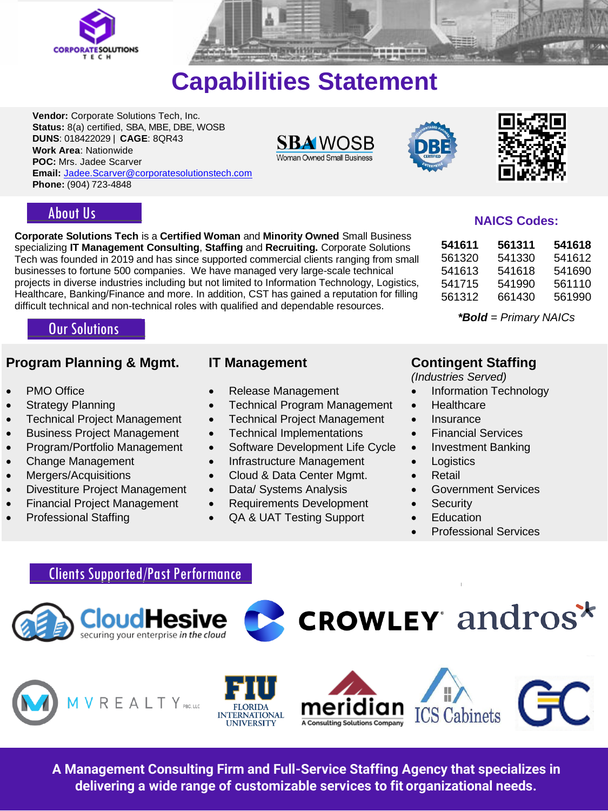



# **Capabilities Statement**

**Vendor:** Corporate Solutions Tech, Inc. **Status:** 8(a) certified, SBA, MBE, DBE, WOSB **DUNS**: 018422029 | **CAGE**: 8QR43 **Work Area**: Nationwide **POC:** Mrs. Jadee Scarver **Email:** [Jadee.Scarver@corporatesolutionstech.com](mailto:Jadee.Scarver@corporatesolutionstech.com) **Phone:** (904) 723-4848







### About Us

**Corporate Solutions Tech** is a **Certified Woman** and **Minority Owned** Small Business specializing **IT Management Consulting**, **Staffing** and **Recruiting.** Corporate Solutions Tech was founded in 2019 and has since supported commercial clients ranging from small businesses to fortune 500 companies. We have managed very large-scale technical projects in diverse industries including but not limited to Information Technology, Logistics, Healthcare, Banking/Finance and more. In addition, CST has gained a reputation for filling difficult technical and non-technical roles with qualified and dependable resources.

# Our Solutions

### **Program Planning & Mgmt. IT Management Contingent Staffing**

- 
- 
- 
- Business Project Management Technical Implementations Financial Services
- 
- 
- 
- Divestiture Project Management Data/ Systems Analysis Government Services
- Financial Project Management
- Professional Staffing

- 
- Strategy Planning Technical Program Management Healthcare
- Technical Project Management Technical Project Management Insurance
	-
- Program/Portfolio Management Software Development Life Cycle Investment Banking
- Change Management Infrastructure Management Logistics
- Mergers/Acquisitions Cloud & Data Center Mgmt. Retail
	-
	- Requirements Development
	- QA & UAT Testing Support

*(Industries Served)*

- **PMO Office CHO CONSTRESS Release Management Information Technology** 
	-
	-
	-
	-
	-
	-
	-
	- **Security**
	- Education
	- Professional Services

### Clients Supported/Past Performance









**CROWLEY andros**\*

**A Management Consulting Firm and Full-Service Staffing Agency that specializes in delivering a wide range of customizable services to fit organizational needs.**

# **NAICS Codes:**

| 541611 | 561311 | 541618 |
|--------|--------|--------|
| 561320 | 541330 | 541612 |
| 541613 | 541618 | 541690 |
| 541715 | 541990 | 561110 |
| 561312 | 661430 | 561990 |

*\*Bold = Primary NAICs*